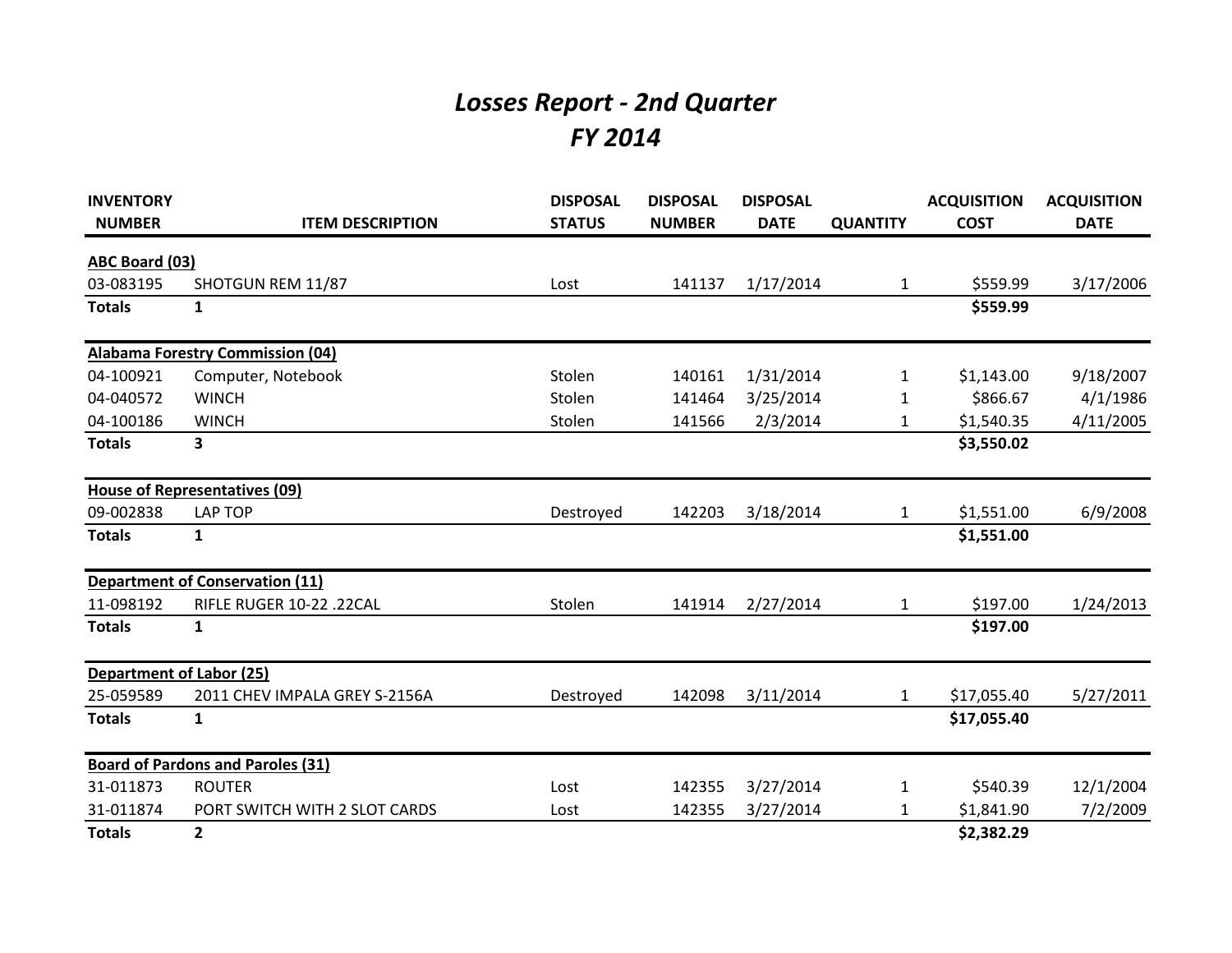## *Losses Report - 2nd Quarter FY 2014*

| <b>INVENTORY</b><br><b>NUMBER</b> | <b>ITEM DESCRIPTION</b>                  | <b>DISPOSAL</b><br><b>STATUS</b> | <b>DISPOSAL</b><br><b>NUMBER</b> | <b>DISPOSAL</b><br><b>DATE</b> | <b>QUANTITY</b> | <b>ACQUISITION</b><br><b>COST</b> | <b>ACQUISITION</b><br><b>DATE</b> |
|-----------------------------------|------------------------------------------|----------------------------------|----------------------------------|--------------------------------|-----------------|-----------------------------------|-----------------------------------|
|                                   |                                          |                                  |                                  |                                |                 |                                   |                                   |
| <b>ABC Board (03)</b>             |                                          |                                  |                                  |                                |                 |                                   |                                   |
| 03-083195                         | SHOTGUN REM 11/87                        | Lost                             | 141137                           | 1/17/2014                      | $\mathbf{1}$    | \$559.99                          | 3/17/2006                         |
| <b>Totals</b>                     | $\mathbf{1}$                             |                                  |                                  |                                |                 | \$559.99                          |                                   |
|                                   | <b>Alabama Forestry Commission (04)</b>  |                                  |                                  |                                |                 |                                   |                                   |
| 04-100921                         | Computer, Notebook                       | Stolen                           | 140161                           | 1/31/2014                      | $\mathbf{1}$    | \$1,143.00                        | 9/18/2007                         |
| 04-040572                         | <b>WINCH</b>                             | Stolen                           | 141464                           | 3/25/2014                      | 1               | \$866.67                          | 4/1/1986                          |
| 04-100186                         | <b>WINCH</b>                             | Stolen                           | 141566                           | 2/3/2014                       | 1               | \$1,540.35                        | 4/11/2005                         |
| <b>Totals</b>                     | 3                                        |                                  |                                  |                                |                 | \$3,550.02                        |                                   |
|                                   | <b>House of Representatives (09)</b>     |                                  |                                  |                                |                 |                                   |                                   |
| 09-002838                         | LAP TOP                                  | Destroyed                        | 142203                           | 3/18/2014                      | $\mathbf{1}$    | \$1,551.00                        | 6/9/2008                          |
| <b>Totals</b>                     | $\mathbf{1}$                             |                                  |                                  |                                |                 | \$1,551.00                        |                                   |
|                                   | <b>Department of Conservation (11)</b>   |                                  |                                  |                                |                 |                                   |                                   |
| 11-098192                         | RIFLE RUGER 10-22 .22CAL                 | Stolen                           | 141914                           | 2/27/2014                      | $\mathbf{1}$    | \$197.00                          | 1/24/2013                         |
| <b>Totals</b>                     | $\mathbf{1}$                             |                                  |                                  |                                |                 | \$197.00                          |                                   |
|                                   | <b>Department of Labor (25)</b>          |                                  |                                  |                                |                 |                                   |                                   |
| 25-059589                         | 2011 CHEV IMPALA GREY S-2156A            | Destroyed                        | 142098                           | 3/11/2014                      | $\mathbf{1}$    | \$17,055.40                       | 5/27/2011                         |
| <b>Totals</b>                     | $\mathbf{1}$                             |                                  |                                  |                                |                 | \$17,055.40                       |                                   |
|                                   | <b>Board of Pardons and Paroles (31)</b> |                                  |                                  |                                |                 |                                   |                                   |
| 31-011873                         | <b>ROUTER</b>                            | Lost                             | 142355                           | 3/27/2014                      | $\mathbf{1}$    | \$540.39                          | 12/1/2004                         |
| 31-011874                         | PORT SWITCH WITH 2 SLOT CARDS            | Lost                             | 142355                           | 3/27/2014                      | 1               | \$1,841.90                        | 7/2/2009                          |
| <b>Totals</b>                     | $\mathbf{2}$                             |                                  |                                  |                                |                 | \$2,382.29                        |                                   |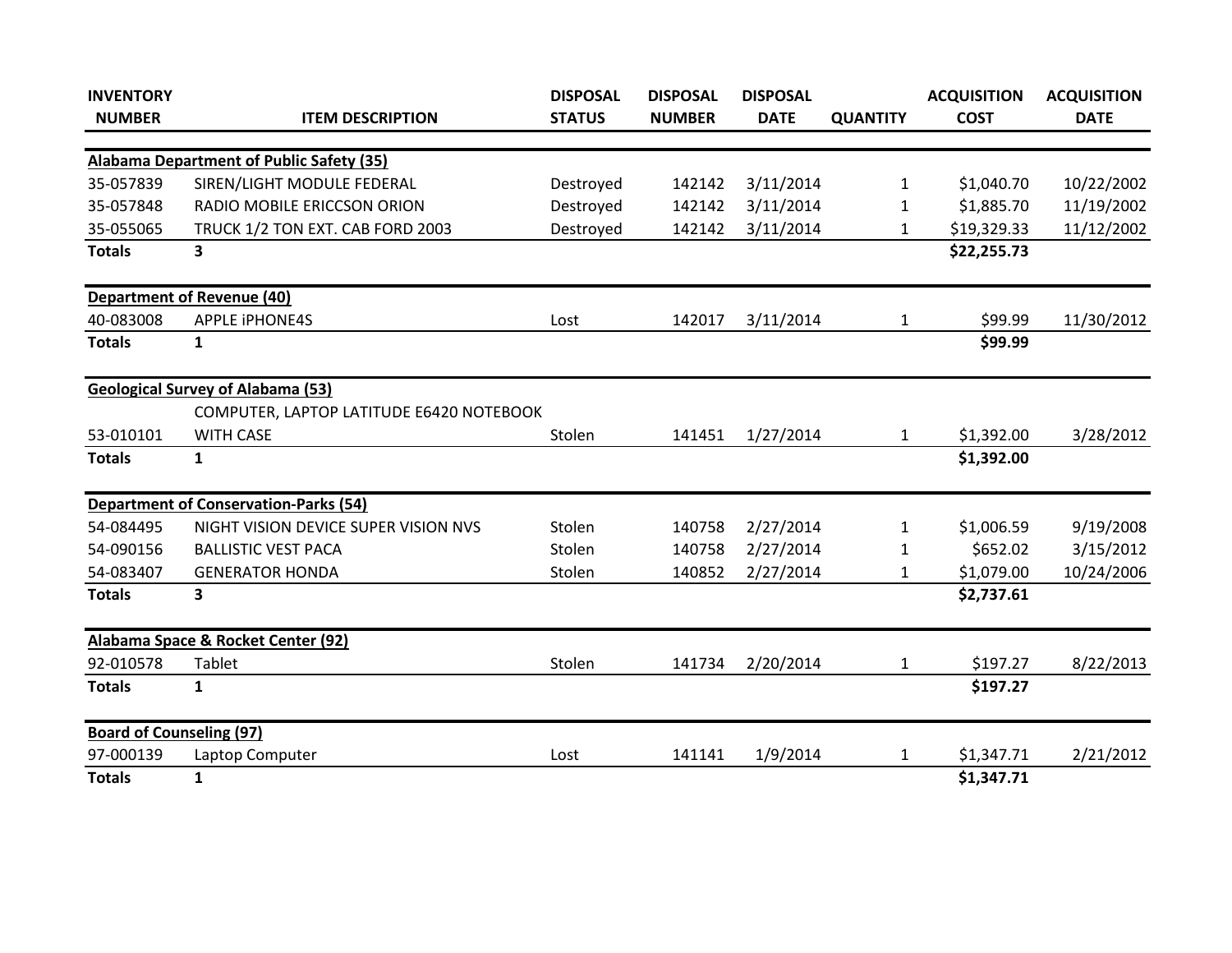| <b>INVENTORY</b>                |                                              | <b>DISPOSAL</b> | <b>DISPOSAL</b> | <b>DISPOSAL</b> |                 | <b>ACQUISITION</b> | <b>ACQUISITION</b> |
|---------------------------------|----------------------------------------------|-----------------|-----------------|-----------------|-----------------|--------------------|--------------------|
| <b>NUMBER</b>                   | <b>ITEM DESCRIPTION</b>                      | <b>STATUS</b>   | <b>NUMBER</b>   | <b>DATE</b>     | <b>QUANTITY</b> | <b>COST</b>        | <b>DATE</b>        |
|                                 | Alabama Department of Public Safety (35)     |                 |                 |                 |                 |                    |                    |
| 35-057839                       | SIREN/LIGHT MODULE FEDERAL                   | Destroyed       | 142142          | 3/11/2014       | 1               | \$1,040.70         | 10/22/2002         |
|                                 |                                              |                 |                 |                 |                 |                    |                    |
| 35-057848                       | RADIO MOBILE ERICCSON ORION                  | Destroyed       | 142142          | 3/11/2014       | $\mathbf{1}$    | \$1,885.70         | 11/19/2002         |
| 35-055065                       | TRUCK 1/2 TON EXT. CAB FORD 2003             | Destroyed       | 142142          | 3/11/2014       | 1               | \$19,329.33        | 11/12/2002         |
| <b>Totals</b>                   | 3                                            |                 |                 |                 |                 | \$22,255.73        |                    |
|                                 | <b>Department of Revenue (40)</b>            |                 |                 |                 |                 |                    |                    |
| 40-083008                       | <b>APPLE IPHONE4S</b>                        | Lost            | 142017          | 3/11/2014       | $\mathbf{1}$    | \$99.99            | 11/30/2012         |
| <b>Totals</b>                   | $\mathbf{1}$                                 |                 |                 |                 |                 | \$99.99            |                    |
|                                 | <b>Geological Survey of Alabama (53)</b>     |                 |                 |                 |                 |                    |                    |
|                                 | COMPUTER, LAPTOP LATITUDE E6420 NOTEBOOK     |                 |                 |                 |                 |                    |                    |
| 53-010101                       | <b>WITH CASE</b>                             | Stolen          | 141451          | 1/27/2014       | 1               | \$1,392.00         | 3/28/2012          |
| <b>Totals</b>                   | $\mathbf{1}$                                 |                 |                 |                 |                 | \$1,392.00         |                    |
|                                 | <b>Department of Conservation-Parks (54)</b> |                 |                 |                 |                 |                    |                    |
| 54-084495                       | NIGHT VISION DEVICE SUPER VISION NVS         | Stolen          | 140758          | 2/27/2014       | 1               | \$1,006.59         | 9/19/2008          |
| 54-090156                       | <b>BALLISTIC VEST PACA</b>                   | Stolen          | 140758          | 2/27/2014       | $\mathbf{1}$    | \$652.02           | 3/15/2012          |
| 54-083407                       | <b>GENERATOR HONDA</b>                       | Stolen          | 140852          | 2/27/2014       | $\mathbf{1}$    | \$1,079.00         | 10/24/2006         |
| <b>Totals</b>                   | 3                                            |                 |                 |                 |                 | \$2,737.61         |                    |
|                                 | Alabama Space & Rocket Center (92)           |                 |                 |                 |                 |                    |                    |
| 92-010578                       | Tablet                                       | Stolen          | 141734          | 2/20/2014       | $\mathbf{1}$    | \$197.27           | 8/22/2013          |
| <b>Totals</b>                   | 1                                            |                 |                 |                 |                 | \$197.27           |                    |
| <b>Board of Counseling (97)</b> |                                              |                 |                 |                 |                 |                    |                    |
| 97-000139                       | Laptop Computer                              | Lost            | 141141          | 1/9/2014        | 1               | \$1,347.71         | 2/21/2012          |
| <b>Totals</b>                   | $\mathbf{1}$                                 |                 |                 |                 |                 | \$1,347.71         |                    |